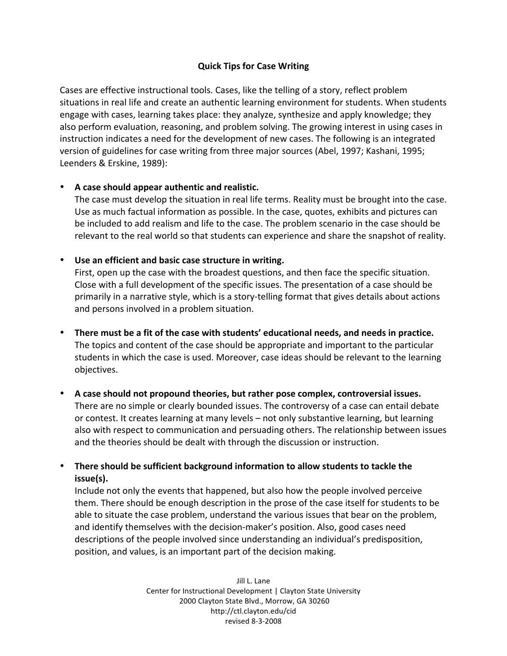# **Quick Tips for Case Writing**

Cases are effective instructional tools. Cases, like the telling of a story, reflect problem situations in real life and create an authentic learning environment for students. When students engage
with
cases,
learning
takes
place:
they
analyze,
synthesize
and
apply
knowledge;
they also perform evaluation, reasoning, and problem solving. The growing interest in using cases in instruction indicates a need for the development of new cases. The following is an integrated version
of
guidelines
for
case
writing
from
three
major
sources
(Abel,
1997;
Kashani,
1995; Leenders
&
Erskine,
1989):

### • **A case should appear authentic and realistic.**

The case must develop the situation in real life terms. Reality must be brought into the case. Use as much factual information as possible. In the case, quotes, exhibits and pictures can be included to add realism and life to the case. The problem scenario in the case should be relevant to the real world so that students can experience and share the snapshot of reality.

### • **Use an efficient and basic case structure in writing.**

First, open up the case with the broadest questions, and then face the specific situation. Close with a full development of the specific issues. The presentation of a case should be primarily in a narrative style, which is a story-telling format that gives details about actions and persons involved in a problem situation.

- **There must be a fit of the case with students' educational needs, and needs in practice.** The topics and content of the case should be appropriate and important to the particular students in which the case is used. Moreover, case ideas should be relevant to the learning objectives.
- **A case should not propound theories, but rather pose complex, controversial issues.** There are no simple or clearly bounded issues. The controversy of a case can entail debate or contest. It creates learning at many levels - not only substantive learning, but learning also
with
respect
to
communication
and
persuading
others.
The
relationship
between
issues and
the
theories
should
be
dealt
with
through
the
discussion
or
instruction.
- **There should be sufficient background information to allow students to tackle the issue(s).**

Include not only the events that happened, but also how the people involved perceive them. There should be enough description in the prose of the case itself for students to be able to situate the case problem, understand the various issues that bear on the problem, and
identify
themselves
with
the
decision‐maker's
position.
Also,
good
cases
need descriptions of the people involved since understanding an individual's predisposition, position,
and
values,
is
an
important
part
of
the
decision
making.